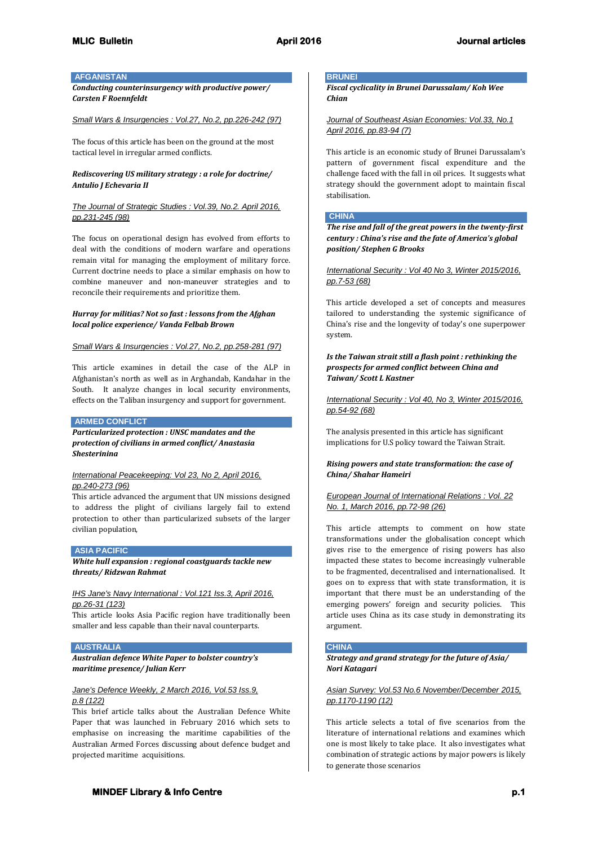### **AFGANISTAN**

*Conducting counterinsurgency with productive power/ Carsten F Roennfeldt*

#### *Small Wars & Insurgencies : Vol.27, No.2, pp.226-242 (97)*

The focus of this article has been on the ground at the most tactical level in irregular armed conflicts.

# *Rediscovering US military strategy : a role for doctrine/ Antulio J Echevaria II*

# *The Journal of Strategic Studies : Vol.39, No.2. April 2016, pp.231-245 (98)*

The focus on operational design has evolved from efforts to deal with the conditions of modern warfare and operations remain vital for managing the employment of military force. Current doctrine needs to place a similar emphasis on how to combine maneuver and non-maneuver strategies and to reconcile their requirements and prioritize them.

### *Hurray for militias? Not so fast : lessons from the Afghan local police experience/ Vanda Felbab Brown*

### *Small Wars & Insurgencies : Vol.27, No.2, pp.258-281 (97)*

This article examines in detail the case of the ALP in Afghanistan's north as well as in Arghandab, Kandahar in the South. It analyze changes in local security environments, effects on the Taliban insurgency and support for government.

#### **ARMED CONFLICT**

*Particularized protection : UNSC mandates and the protection of civilians in armed conflict/ Anastasia Shesterinina*

#### *International Peacekeeping: Vol 23, No 2, April 2016, pp.240-273 (96)*

This article advanced the argument that UN missions designed to address the plight of civilians largely fail to extend protection to other than particularized subsets of the larger civilian population,

# **ASIA PACIFIC**

*White hull expansion : regional coastguards tackle new threats/ Ridzwan Rahmat*

### *IHS Jane's Navy International : Vol.121 Iss.3, April 2016, pp.26-31 (123)*

This article looks Asia Pacific region have traditionally been smaller and less capable than their naval counterparts.

#### **AUSTRALIA**

*Australian defence White Paper to bolster country's maritime presence/ Julian Kerr*

### *Jane's Defence Weekly, 2 March 2016, Vol.53 Iss.9, p.8 (122)*

This brief article talks about the Australian Defence White Paper that was launched in February 2016 which sets to emphasise on increasing the maritime capabilities of the Australian Armed Forces discussing about defence budget and projected maritime acquisitions.

#### **BRUNEI**

*Fiscal cyclicality in Brunei Darussalam/ Koh Wee Chian*

*Journal of Southeast Asian Economies: Vol.33, No.1 April 2016, pp.83-94 (7)*

This article is an economic study of Brunei Darussalam's pattern of government fiscal expenditure and the challenge faced with the fall in oil prices. It suggests what strategy should the government adopt to maintain fiscal stabilisation.

#### **CHINA**

*The rise and fall of the great powers in the twenty-first century : China's rise and the fate of America's global position/ Stephen G Brooks*

*International Security : Vol 40 No 3, Winter 2015/2016, pp.7-53 (68)*

This article developed a set of concepts and measures tailored to understanding the systemic significance of China's rise and the longevity of today's one superpower system.

*Is the Taiwan strait still a flash point : rethinking the prospects for armed conflict between China and Taiwan/ Scott L Kastner*

*International Security : Vol 40, No 3, Winter 2015/2016, pp.54-92 (68)*

The analysis presented in this article has significant implications for U.S policy toward the Taiwan Strait.

### *Rising powers and state transformation: the case of China/ Shahar Hameiri*

*European Journal of International Relations : Vol. 22 No. 1, March 2016, pp.72-98 (26)*

This article attempts to comment on how state transformations under the globalisation concept which gives rise to the emergence of rising powers has also impacted these states to become increasingly vulnerable to be fragmented, decentralised and internationalised. It goes on to express that with state transformation, it is important that there must be an understanding of the emerging powers' foreign and security policies. This article uses China as its case study in demonstrating its argument.

#### **CHINA**

*Strategy and grand strategy for the future of Asia/ Nori Katagari*

*Asian Survey: Vol.53 No.6 November/December 2015, pp.1170-1190 (12)*

This article selects a total of five scenarios from the literature of international relations and examines which one is most likely to take place. It also investigates what combination of strategic actions by major powers is likely to generate those scenarios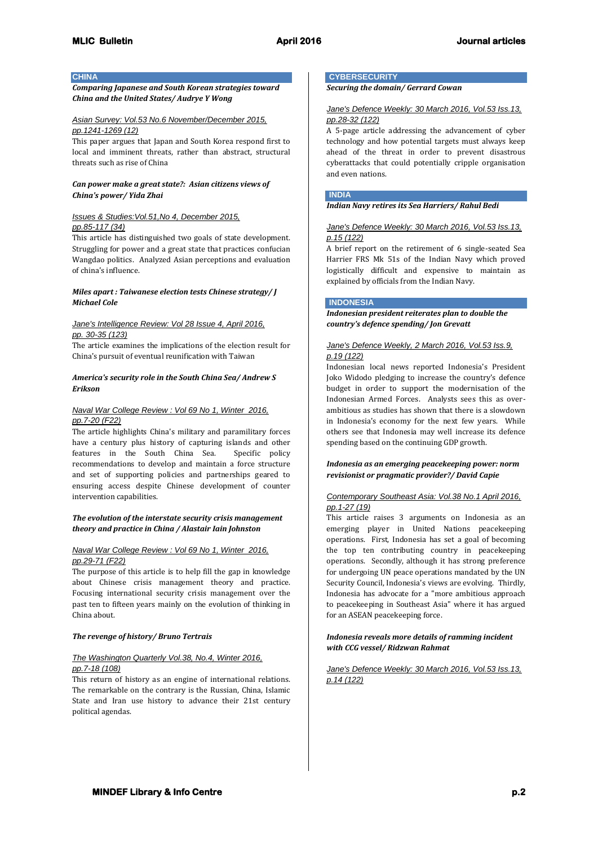# **CHINA**

*Comparing Japanese and South Korean strategies toward China and the United States/ Audrye Y Wong*

### *Asian Survey: Vol.53 No.6 November/December 2015, pp.1241-1269 (12)*

This paper argues that Japan and South Korea respond first to local and imminent threats, rather than abstract, structural threats such as rise of China

# *Can power make a great state?: Asian citizens views of China's power/ Yida Zhai*

# *Issues & Studies:Vol.51,No 4, December 2015, pp.85-117 (34)*

This article has distinguished two goals of state development. Struggling for power and a great state that practices confucian Wangdao politics. Analyzed Asian perceptions and evaluation of china's influence.

# *Miles apart : Taiwanese election tests Chinese strategy/ J Michael Cole*

# *Jane's Intelligence Review: Vol 28 Issue 4, April 2016, pp. 30-35 (123)*

The article examines the implications of the election result for China's pursuit of eventual reunification with Taiwan

# *America's security role in the South China Sea/ Andrew S Erikson*

# *Naval War College Review : Vol 69 No 1, Winter 2016, pp.7-20 (F22)*

The article highlights China's military and paramilitary forces have a century plus history of capturing islands and other features in the South China Sea. Specific policy recommendations to develop and maintain a force structure and set of supporting policies and partnerships geared to ensuring access despite Chinese development of counter intervention capabilities.

# *The evolution of the interstate security crisis management theory and practice in China / Alastair Iain Johnston*

# *Naval War College Review : Vol 69 No 1, Winter 2016, pp.29-71 (F22)*

The purpose of this article is to help fill the gap in knowledge about Chinese crisis management theory and practice. Focusing international security crisis management over the past ten to fifteen years mainly on the evolution of thinking in China about.

# *The revenge of history/ Bruno Tertrais*

# *The Washington Quarterly Vol.38, No.4, Winter 2016, pp.7-18 (108)*

This return of history as an engine of international relations. The remarkable on the contrary is the Russian, China, Islamic State and Iran use history to advance their 21st century political agendas.

# **CYBERSECURITY**

*Securing the domain/ Gerrard Cowan*

# *Jane's Defence Weekly: 30 March 2016, Vol.53 Iss.13, pp.28-32 (122)*

A 5-page article addressing the advancement of cyber technology and how potential targets must always keep ahead of the threat in order to prevent disastrous cyberattacks that could potentially cripple organisation and even nations.

# **INDIA**

# *Indian Navy retires its Sea Harriers/ Rahul Bedi*

# *Jane's Defence Weekly: 30 March 2016, Vol.53 Iss.13, p.15 (122)*

A brief report on the retirement of 6 single-seated Sea Harrier FRS Mk 51s of the Indian Navy which proved logistically difficult and expensive to maintain as explained by officials from the Indian Navy.

# **INDONESIA**

*Indonesian president reiterates plan to double the country's defence spending/ Jon Grevatt*

# *Jane's Defence Weekly, 2 March 2016, Vol.53 Iss.9, p.19 (122)*

Indonesian local news reported Indonesia's President Joko Widodo pledging to increase the country's defence budget in order to support the modernisation of the Indonesian Armed Forces. Analysts sees this as overambitious as studies has shown that there is a slowdown in Indonesia's economy for the next few years. While others see that Indonesia may well increase its defence spending based on the continuing GDP growth.

# *Indonesia as an emerging peacekeeping power: norm revisionist or pragmatic provider?/ David Capie*

# *Contemporary Southeast Asia: Vol.38 No.1 April 2016, pp.1-27 (19)*

This article raises 3 arguments on Indonesia as an emerging player in United Nations peacekeeping operations. First, Indonesia has set a goal of becoming the top ten contributing country in peacekeeping operations. Secondly, although it has strong preference for undergoing UN peace operations mandated by the UN Security Council, Indonesia's views are evolving. Thirdly, Indonesia has advocate for a "more ambitious approach to peacekeeping in Southeast Asia" where it has argued for an ASEAN peacekeeping force.

# *Indonesia reveals more details of ramming incident with CCG vessel/ Ridzwan Rahmat*

*Jane's Defence Weekly: 30 March 2016, Vol.53 Iss.13, p.14 (122)*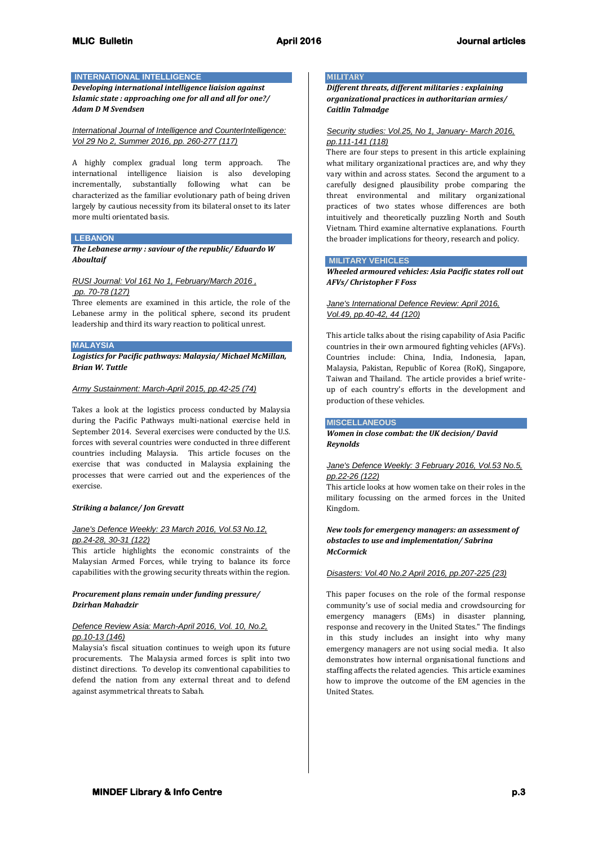# **INTERNATIONAL INTELLIGENCE**

*Developing international intelligence liaision against Islamic state : approaching one for all and all for one?/ Adam D M Svendsen*

*International Journal of Intelligence and CounterIntelligence: Vol 29 No 2, Summer 2016, pp. 260-277 (117)*

A highly complex gradual long term approach. The international intelligence liaision is also developing incrementally, substantially following what can be characterized as the familiar evolutionary path of being driven largely by cautious necessity from its bilateral onset to its later more multi orientated basis.

# **LEBANON**

*The Lebanese army : saviour of the republic/ Eduardo W Aboultaif*

# *RUSI Journal: Vol 161 No 1, February/March 2016 , pp. 70-78 (127)*

Three elements are examined in this article, the role of the Lebanese army in the political sphere, second its prudent leadership and third its wary reaction to political unrest.

### **MALAYSIA**

*Logistics for Pacific pathways: Malaysia/ Michael McMillan, Brian W. Tuttle*

### *Army Sustainment: March-April 2015, pp.42-25 (74)*

Takes a look at the logistics process conducted by Malaysia during the Pacific Pathways multi-national exercise held in September 2014. Several exercises were conducted by the U.S. forces with several countries were conducted in three different countries including Malaysia. This article focuses on the exercise that was conducted in Malaysia explaining the processes that were carried out and the experiences of the exercise.

### *Striking a balance/ Jon Grevatt*

# *Jane's Defence Weekly: 23 March 2016, Vol.53 No.12, pp.24-28, 30-31 (122)*

This article highlights the economic constraints of the Malaysian Armed Forces, while trying to balance its force capabilities with the growing security threats within the region.

# *Procurement plans remain under funding pressure/ Dzirhan Mahadzir*

# *Defence Review Asia: March-April 2016, Vol. 10, No.2, pp.10-13 (146)*

Malaysia's fiscal situation continues to weigh upon its future procurements. The Malaysia armed forces is split into two distinct directions. To develop its conventional capabilities to defend the nation from any external threat and to defend against asymmetrical threats to Sabah.

# **MILITARY**

*Different threats, different militaries : explaining organizational practices in authoritarian armies/ Caitlin Talmadge*

# *Security studies: Vol.25, No 1, January- March 2016, pp.111-141 (118)*

There are four steps to present in this article explaining what military organizational practices are, and why they vary within and across states. Second the argument to a carefully designed plausibility probe comparing the threat environmental and military organizational practices of two states whose differences are both intuitively and theoretically puzzling North and South Vietnam. Third examine alternative explanations. Fourth the broader implications for theory, research and policy.

# **MILITARY VEHICLES**

*Wheeled armoured vehicles: Asia Pacific states roll out AFVs/ Christopher F Foss*

# *Jane's International Defence Review: April 2016, Vol.49, pp.40-42, 44 (120)*

This article talks about the rising capability of Asia Pacific countries in their own armoured fighting vehicles (AFVs). Countries include: China, India, Indonesia, Japan, Malaysia, Pakistan, Republic of Korea (RoK), Singapore, Taiwan and Thailand. The article provides a brief writeup of each country's efforts in the development and production of these vehicles.

#### **MISCELLANEOUS**

*Women in close combat: the UK decision/ David Reynolds*

# *Jane's Defence Weekly: 3 February 2016, Vol.53 No.5, pp.22-26 (122)*

This article looks at how women take on their roles in the military focussing on the armed forces in the United Kingdom.

# *New tools for emergency managers: an assessment of obstacles to use and implementation/ Sabrina McCormick*

### *Disasters: Vol.40 No.2 April 2016, pp.207-225 (23)*

This paper focuses on the role of the formal response community's use of social media and crowdsourcing for emergency managers (EMs) in disaster planning, response and recovery in the United States." The findings in this study includes an insight into why many emergency managers are not using social media. It also demonstrates how internal organisational functions and staffing affects the related agencies. This article examines how to improve the outcome of the EM agencies in the United States.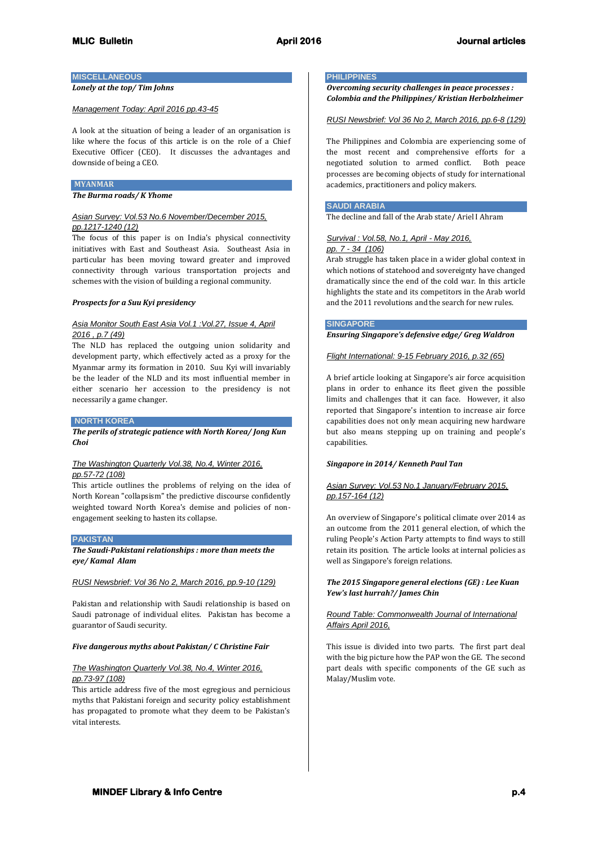# **MISCELLANEOUS**

# *Lonely at the top/ Tim Johns*

### *Management Today: April 2016 pp.43-45*

A look at the situation of being a leader of an organisation is like where the focus of this article is on the role of a Chief Executive Officer (CEO). It discusses the advantages and downside of being a CEO.

#### **MYANMAR**

*The Burma roads/ K Yhome*

# *Asian Survey: Vol.53 No.6 November/December 2015, pp.1217-1240 (12)*

The focus of this paper is on India's physical connectivity initiatives with East and Southeast Asia. Southeast Asia in particular has been moving toward greater and improved connectivity through various transportation projects and schemes with the vision of building a regional community.

### *Prospects for a Suu Kyi presidency*

# *Asia Monitor South East Asia Vol.1 :Vol.27, Issue 4, April 2016 , p.7 (49)*

The NLD has replaced the outgoing union solidarity and development party, which effectively acted as a proxy for the Myanmar army its formation in 2010. Suu Kyi will invariably be the leader of the NLD and its most influential member in either scenario her accession to the presidency is not necessarily a game changer.

#### **NORTH KOREA**

*The perils of strategic patience with North Korea/ Jong Kun Choi*

# *The Washington Quarterly Vol.38, No.4, Winter 2016, pp.57-72 (108)*

This article outlines the problems of relying on the idea of North Korean "collapsism" the predictive discourse confidently weighted toward North Korea's demise and policies of nonengagement seeking to hasten its collapse.

### **PAKISTAN**

*The Saudi-Pakistani relationships : more than meets the eye/ Kamal Alam*

### *RUSI Newsbrief: Vol 36 No 2, March 2016, pp.9-10 (129)*

Pakistan and relationship with Saudi relationship is based on Saudi patronage of individual elites. Pakistan has become a guarantor of Saudi security.

### *Five dangerous myths about Pakistan/ C Christine Fair*

# *The Washington Quarterly Vol.38, No.4, Winter 2016, pp.73-97 (108)*

This article address five of the most egregious and pernicious myths that Pakistani foreign and security policy establishment has propagated to promote what they deem to be Pakistan's vital interests.

### **PHILIPPINES**

*Overcoming security challenges in peace processes : Colombia and the Philippines/ Kristian Herbolzheimer*

#### *RUSI Newsbrief: Vol 36 No 2, March 2016, pp.6-8 (129)*

The Philippines and Colombia are experiencing some of the most recent and comprehensive efforts for a negotiated solution to armed conflict. Both peace processes are becoming objects of study for international academics, practitioners and policy makers.

#### **SAUDI ARABIA**

The decline and fall of the Arab state/ Ariel I Ahram

### *Survival : Vol.58, No.1, April - May 2016,*

*pp. 7 - 34 (106)*

Arab struggle has taken place in a wider global context in which notions of statehood and sovereignty have changed dramatically since the end of the cold war. In this article highlights the state and its competitors in the Arab world and the 2011 revolutions and the search for new rules.

#### **SINGAPORE**

*Ensuring Singapore's defensive edge/ Greg Waldron*

### *Flight International: 9-15 February 2016, p.32 (65)*

A brief article looking at Singapore's air force acquisition plans in order to enhance its fleet given the possible limits and challenges that it can face. However, it also reported that Singapore's intention to increase air force capabilities does not only mean acquiring new hardware but also means stepping up on training and people's capabilities.

### *Singapore in 2014/ Kenneth Paul Tan*

# *Asian Survey: Vol.53 No.1 January/February 2015, pp.157-164 (12)*

An overview of Singapore's political climate over 2014 as an outcome from the 2011 general election, of which the ruling People's Action Party attempts to find ways to still retain its position. The article looks at internal policies as well as Singapore's foreign relations.

# *The 2015 Singapore general elections (GE) : Lee Kuan Yew's last hurrah?/ James Chin*

### *Round Table: Commonwealth Journal of International Affairs April 2016,*

This issue is divided into two parts. The first part deal with the big picture how the PAP won the GE. The second part deals with specific components of the GE such as Malay/Muslim vote.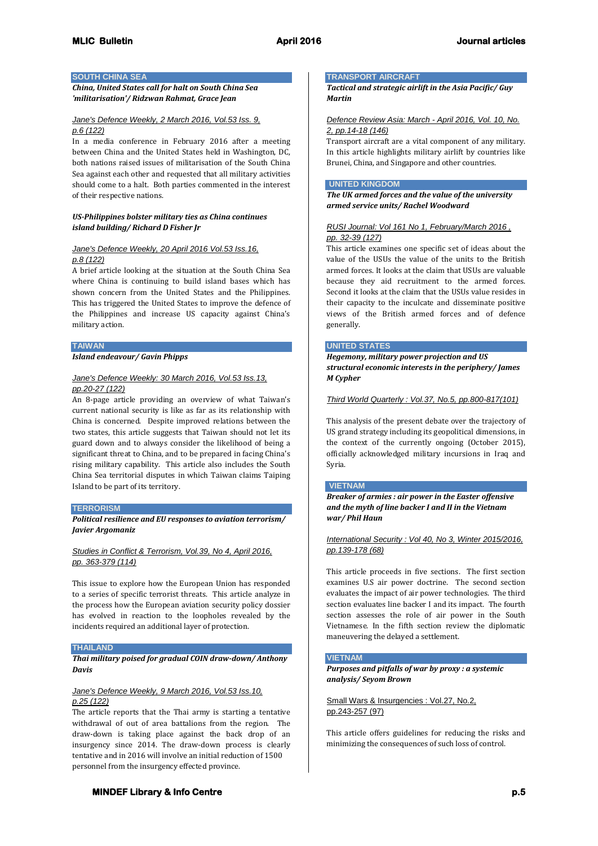### **SOUTH CHINA SEA**

### *China, United States call for halt on South China Sea 'militarisation'/ Ridzwan Rahmat, Grace Jean*

### *Jane's Defence Weekly, 2 March 2016, Vol.53 Iss. 9, p.6 (122)*

In a media conference in February 2016 after a meeting between China and the United States held in Washington, DC, both nations raised issues of militarisation of the South China Sea against each other and requested that all military activities should come to a halt. Both parties commented in the interest of their respective nations.

### *US-Philippines bolster military ties as China continues island building/ Richard D Fisher Jr*

# *Jane's Defence Weekly, 20 April 2016 Vol.53 Iss.16, p.8 (122)*

A brief article looking at the situation at the South China Sea where China is continuing to build island bases which has shown concern from the United States and the Philippines. This has triggered the United States to improve the defence of the Philippines and increase US capacity against China's military action.

#### **TAIWAN**

*Island endeavour/ Gavin Phipps*

# *Jane's Defence Weekly: 30 March 2016, Vol.53 Iss.13, pp.20-27 (122)*

An 8-page article providing an overview of what Taiwan's current national security is like as far as its relationship with China is concerned. Despite improved relations between the two states, this article suggests that Taiwan should not let its guard down and to always consider the likelihood of being a significant threat to China, and to be prepared in facing China's rising military capability. This article also includes the South China Sea territorial disputes in which Taiwan claims Taiping Island to be part of its territory.

### **TERRORISM**

*Political resilience and EU responses to aviation terrorism/ Javier Argomaniz*

# *Studies in Conflict & Terrorism, Vol.39, No 4, April 2016, pp. 363-379 (114)*

This issue to explore how the European Union has responded to a series of specific terrorist threats. This article analyze in the process how the European aviation security policy dossier has evolved in reaction to the loopholes revealed by the incidents required an additional layer of protection.

#### **THAILAND**

*Thai military poised for gradual COIN draw-down/ Anthony Davis*

### *Jane's Defence Weekly, 9 March 2016, Vol.53 Iss.10, p.25 (122)*

The article reports that the Thai army is starting a tentative withdrawal of out of area battalions from the region. The draw-down is taking place against the back drop of an insurgency since 2014. The draw-down process is clearly tentative and in 2016 will involve an initial reduction of 1500 personnel from the insurgency effected province.

# **TRANSPORT AIRCRAFT**

*Tactical and strategic airlift in the Asia Pacific/ Guy Martin*

# *Defence Review Asia: March - April 2016, Vol. 10, No. 2, pp.14-18 (146)*

Transport aircraft are a vital component of any military. In this article highlights military airlift by countries like Brunei, China, and Singapore and other countries.

# **UNITED KINGDOM**

*The UK armed forces and the value of the university armed service units/ Rachel Woodward*

### *RUSI Journal: Vol 161 No 1, February/March 2016 , pp. 32-39 (127)*

This article examines one specific set of ideas about the value of the USUs the value of the units to the British armed forces. It looks at the claim that USUs are valuable because they aid recruitment to the armed forces. Second it looks at the claim that the USUs value resides in their capacity to the inculcate and disseminate positive views of the British armed forces and of defence generally.

### **UNITED STATES**

*Hegemony, military power projection and US structural economic interests in the periphery/ James M Cypher*

### *Third World Quarterly : Vol.37, No.5, pp.800-817(101)*

This analysis of the present debate over the trajectory of US grand strategy including its geopolitical dimensions, in the context of the currently ongoing (October 2015), officially acknowledged military incursions in Iraq and Syria.

#### **VIETNAM**

*Breaker of armies : air power in the Easter offensive and the myth of line backer I and II in the Vietnam war/ Phil Haun*

*International Security : Vol 40, No 3, Winter 2015/2016, pp.139-178 (68)*

This article proceeds in five sections. The first section examines U.S air power doctrine. The second section evaluates the impact of air power technologies. The third section evaluates line backer I and its impact. The fourth section assesses the role of air power in the South Vietnamese. In the fifth section review the diplomatic maneuvering the delayed a settlement.

### **VIETNAM**

*Purposes and pitfalls of war by proxy : a systemic analysis/ Seyom Brown*

Small Wars & Insurgencies : Vol.27, No.2, pp.243-257 (97)

This article offers guidelines for reducing the risks and minimizing the consequences of such loss of control.